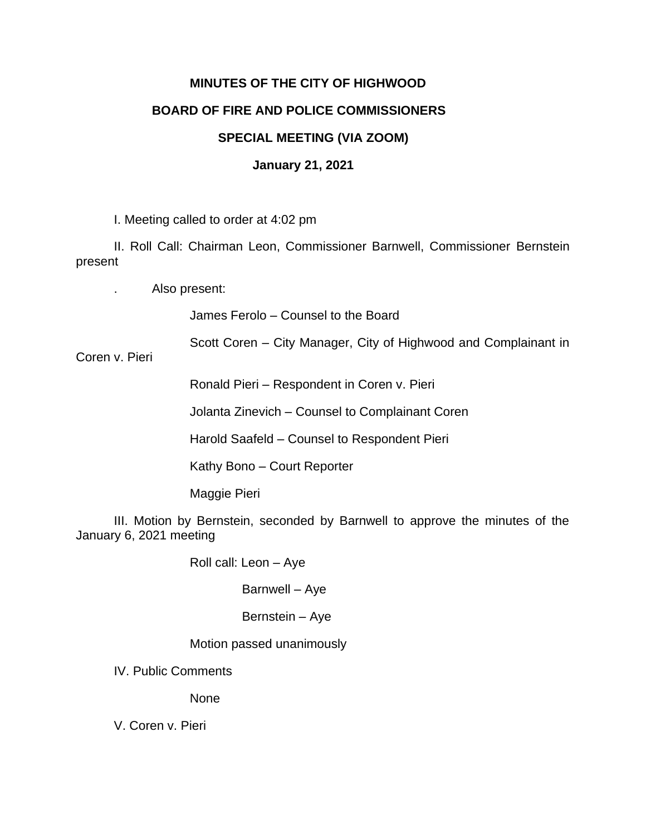# **MINUTES OF THE CITY OF HIGHWOOD BOARD OF FIRE AND POLICE COMMISSIONERS**

# **SPECIAL MEETING (VIA ZOOM)**

## **January 21, 2021**

I. Meeting called to order at 4:02 pm

II. Roll Call: Chairman Leon, Commissioner Barnwell, Commissioner Bernstein present

. Also present:

James Ferolo – Counsel to the Board

Scott Coren – City Manager, City of Highwood and Complainant in

Coren v. Pieri

Ronald Pieri – Respondent in Coren v. Pieri

Jolanta Zinevich – Counsel to Complainant Coren

Harold Saafeld – Counsel to Respondent Pieri

Kathy Bono – Court Reporter

Maggie Pieri

III. Motion by Bernstein, seconded by Barnwell to approve the minutes of the January 6, 2021 meeting

Roll call: Leon – Aye

Barnwell – Aye

Bernstein – Aye

Motion passed unanimously

IV. Public Comments

None

V. Coren v. Pieri